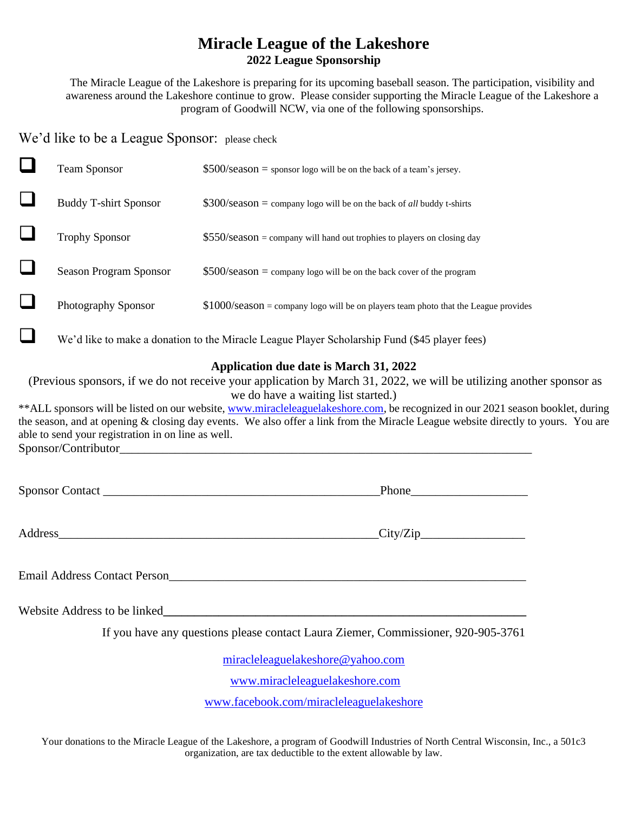## **Miracle League of the Lakeshore 2022 League Sponsorship**

The Miracle League of the Lakeshore is preparing for its upcoming baseball season. The participation, visibility and awareness around the Lakeshore continue to grow. Please consider supporting the Miracle League of the Lakeshore a program of Goodwill NCW, via one of the following sponsorships.

We'd like to be a League Sponsor: please check

| <b>Team Sponsor</b>          | $$500/\text{season} =$ sponsor logo will be on the back of a team's jersey.           |
|------------------------------|---------------------------------------------------------------------------------------|
| <b>Buddy T-shirt Sponsor</b> | $$300$ /season = company logo will be on the back of <i>all</i> buddy t-shirts        |
| <b>Trophy Sponsor</b>        | $$550/season = company will hand out trophies to players on closing day$              |
| Season Program Sponsor       | $$500/season = company logo will be on the back cover of the program$                 |
| Photography Sponsor          | $$1000$ /season = company logo will be on players team photo that the League provides |
|                              |                                                                                       |

❑ We'd like to make a donation to the Miracle League Player Scholarship Fund (\$45 player fees)

## **Application due date is March 31, 2022**

(Previous sponsors, if we do not receive your application by March 31, 2022, we will be utilizing another sponsor as we do have a waiting list started.)

\*\*ALL sponsors will be listed on our website, [www.miracleleaguelakeshore.com,](http://www.miracleleaguelakeshore.com/) be recognized in our 2021 season booklet, during the season, and at opening & closing day events. We also offer a link from the Miracle League website directly to yours. You are able to send your registration in on line as well. Sponsor/Contributor

Sponsor Contact Phone

Address\_\_\_\_\_\_\_\_\_\_\_\_\_\_\_\_\_\_\_\_\_\_\_\_\_\_\_\_\_\_\_\_\_\_\_\_\_\_\_\_\_\_\_\_\_\_\_\_\_\_\_\_City/Zip\_\_\_\_\_\_\_\_\_\_\_\_\_\_\_\_\_

Email Address Contact Person\_\_\_\_\_\_\_\_\_\_\_\_\_\_\_\_\_\_\_\_\_\_\_\_\_\_\_\_\_\_\_\_\_\_\_\_\_\_\_\_\_\_\_\_\_\_\_\_\_\_\_\_\_\_\_\_\_\_

Website Address to be linked

If you have any questions please contact Laura Ziemer, Commissioner, 920-905-3761

[miracleleaguelakeshore@yahoo.com](mailto:miracleleaguelakeshore@yahoo.com)

[www.miracleleaguelakeshore.com](http://www.miracleleaguelakeshore.com/)

[www.facebook.com/miracleleaguelakeshore](http://www.facebook.com/miracleleaguelakeshore)

Your donations to the Miracle League of the Lakeshore, a program of Goodwill Industries of North Central Wisconsin, Inc., a 501c3 organization, are tax deductible to the extent allowable by law.